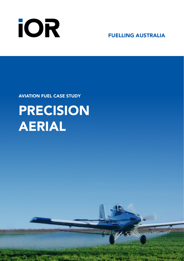

FUELLING AUSTRALIA

AVIATION FUEL CASE STUDY

# PRECISION AERIAL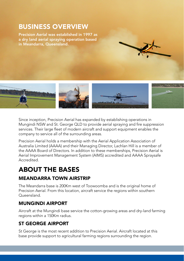# BUSINESS OVERVIEW

Precision Aerial was established in 1997 as a dry land aerial spraying operation based in Meandarra, Queensland.



Since inception, Precision Aerial has expanded by establishing operations in Mungindi NSW and St. George QLD to provide aerial spraying and fire suppression services. Their large fleet of modern aircraft and support equipment enables the company to service all of the surrounding areas.

Precision Aerial holds a membership with the Aerial Application Association of Australia Limited (AAAA) and their Managing Director, Lachlan Hill is a member of the AAAA Board of Directors. In addition to these memberships, Precision Aerial is Aerial Improvement Management System (AIMS) accredited and AAAA Spraysafe Accredited.

# ABOUT THE BASES

### MEANDARRA TOWN AIRSTRIP

The Meandarra base is 200Km west of Toowoomba and is the original home of Precision Aerial. From this location, aircraft service the regions within southern Queensland.

### MUNGINDI AIRPORT

Aircraft at the Mungindi base service the cotton-growing areas and dry-land farming regions within a 150Km radius.

### ST GEORGE AIRPORT

St George is the most recent addition to Precision Aerial. Aircraft located at this base provide support to agricultural farming regions surrounding the region.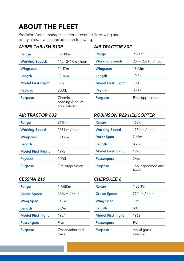# ABOUT THE FLEET

Precision Aerial manages a fleet of over 20 fixed-wing and rotary aircraft which includes the following.

### *AYRES THRUSH 510P AIR TRACTOR 802*

| Range                     | 1,238Km                                        | Range                     | 982Km     |
|---------------------------|------------------------------------------------|---------------------------|-----------|
| <b>Working Speeds</b>     | 145 - 241Km / hour                             | <b>Working Speeds</b>     | $209 - 2$ |
| Wingspan                  | 14.47m                                         | Wingspan                  | 18.08m    |
| Length                    | 12.16m                                         | Length                    | 10.21     |
| <b>Model First Flight</b> | 1956                                           | <b>Model First Flight</b> | 1990      |
| Payload                   | 2000L                                          | Payload                   | 3000L     |
| <b>Purpose</b>            | Chemical.<br>seeding & pellet<br>applications. | <b>Purpose</b>            | Fire sup  |

| Range                     | 1,238Km            | Range                     | 982Km              |
|---------------------------|--------------------|---------------------------|--------------------|
| <b>Working Speeds</b>     | 145 - 241Km / hour | <b>Working Speeds</b>     | 209 - 250Km / hour |
| Wingspan                  | 14.47m             | Wingspan                  | 18.08m             |
| Length                    | 12.16m             | Length                    | 10.21              |
| <b>Model First Flight</b> | 1956               | <b>Model First Flight</b> | 1990               |
| Payload                   | 2000L              | Payload                   | 3000L              |
| <b>Purpose</b>            | Chemical,          | <b>Purpose</b>            | Fire suppression.  |

### *AIR TRACTOR 602 ROBINSON R22 HELICOPTER*

| Range                     | 966Km             | Range                     | 463Km                                                 |
|---------------------------|-------------------|---------------------------|-------------------------------------------------------|
| <b>Working Speed</b>      | 266 Km / hour     | <b>Working Speed</b>      | 177 Km / hour                                         |
| Wingspan                  | 17.06m            | <b>Rotor Span</b>         | 7.66m                                                 |
| Length                    | 10.21             | Length                    | 8.76m                                                 |
| <b>Model First Flight</b> | 1995              | <b>Model First Flight</b> | 1975                                                  |
| Payload                   | 2400L             | <b>Passengers</b>         | One                                                   |
| <b>Purpose</b>            | Fire suppression. | <b>Purpose</b>            | Job inspection<br>the contract of the contract of the |

| Range                     | 966Km             | Range                     | 463Km                          |
|---------------------------|-------------------|---------------------------|--------------------------------|
| <b>Working Speed</b>      | 266 Km / hour     | <b>Working Speed</b>      | 177 Km / hour                  |
| Wingspan                  | 17.06m            | <b>Rotor Span</b>         | 7.66m                          |
| Length                    | 10.21             | Length                    | 8.76m                          |
| <b>Model First Flight</b> | 1995              | <b>Model First Flight</b> | 1975                           |
| Payload                   | 2400L             | <b>Passengers</b>         | One                            |
| <b>Purpose</b>            | Fire suppression. | <b>Purpose</b>            | Job inspections and<br>travel. |

### *CESSNA 210 CHEROKEE 6*

| Range                     | 1.668Km                    | Range                     | 1,361Km                  |
|---------------------------|----------------------------|---------------------------|--------------------------|
| <b>Cruise Speed</b>       | 358Km / hour               | <b>Cruise Speed</b>       | 272Km / hour             |
| <b>Wing Span</b>          | 11.2m                      | <b>Wing Span</b>          | 10 <sub>m</sub>          |
| Length                    | 8.59m                      | Length                    | 8.4m                     |
| <b>Model First flight</b> | 1957                       | <b>Model First flight</b> | 1963                     |
| <b>Passengers</b>         | Five                       | <b>Passengers</b>         | Five                     |
| <b>Purpose</b>            | Observation and<br>travel. | <b>Purpose</b>            | Aerial grass<br>seeding. |

| .                         |                          |
|---------------------------|--------------------------|
| Range                     | 1.361Km                  |
| <b>Cruise Speed</b>       | 272Km / hour             |
| <b>Wing Span</b>          | 10 <sub>m</sub>          |
| Length                    | 8 4m                     |
| <b>Model First flight</b> | 1963                     |
| <b>Passengers</b>         | Five                     |
| <b>Purpose</b>            | Aerial grass<br>seeding. |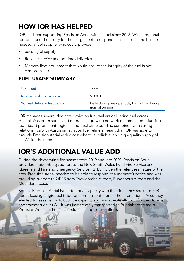# HOW IOR HAS HELPED

IOR has been supporting Precision Aerial with its fuel since 2016. With a regional footprint and the ability for their large fleet to respond in all seasons, the business needed a fuel supplier who could provide:

- Security of supply.
- Reliable service and on-time deliveries.
- Modern fleet equipment that would ensure the integrity of the fuel is not compromised.

## FUEL USAGE SUMMARY

| <b>Fuel used</b>          | .Jet A1                                                          |
|---------------------------|------------------------------------------------------------------|
| Total annual fuel volume  | >800KI                                                           |
| Normal delivery frequency | Daily during peak periods, fortnightly during<br>normal periods. |

IOR manages several dedicated aviation fuel tankers delivering fuel across Australia's eastern states and operates a growing network of unmanned refuelling facilities at prominent regional and rural airfields. This, combined with strong relationships with Australian aviation fuel refiners meant that IOR was able to provide Precision Aerial with a cost-effective, reliable, and high-quality supply of Jet A1 for their fleet.

# IOR'S ADDITIONAL VALUE ADD

During the devastating fire season from 2019 and into 2020, Precision Aerial provided firebombing support to the New South Wales Rural Fire Service and Queensland Fire and Emergency Service (QFES). Given the relentless nature of the fires, Precision Aerial needed to be able to respond at a moment's notice and was providing support to QFES from Toowoomba Airport, Bundaberg Airport and the Meandarra base.

So that Precision Aerial had additional capacity with their fuel, they spoke to IOR about leasing a rigid fuel truck for a three-month term. The International Acco they elected to lease had a 16,000 litre capacity and was specifically built for the storage and transport of Jet A1. It was immediately transported to Bundaberg to assist Precision Aerial in their successful fire suppression efforts.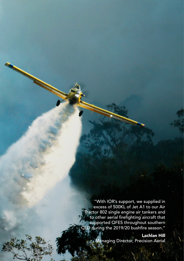"With IOR's support, we supplied in excess of 500KL of Jet A1 to our Air Tractor 802 single engine air tankers and to other aerial firefighting aircraft that supported QFES throughout southern QLD during the 2019/20 bushfire season."

Lachlan Hill Managing Director, Precision Aerial